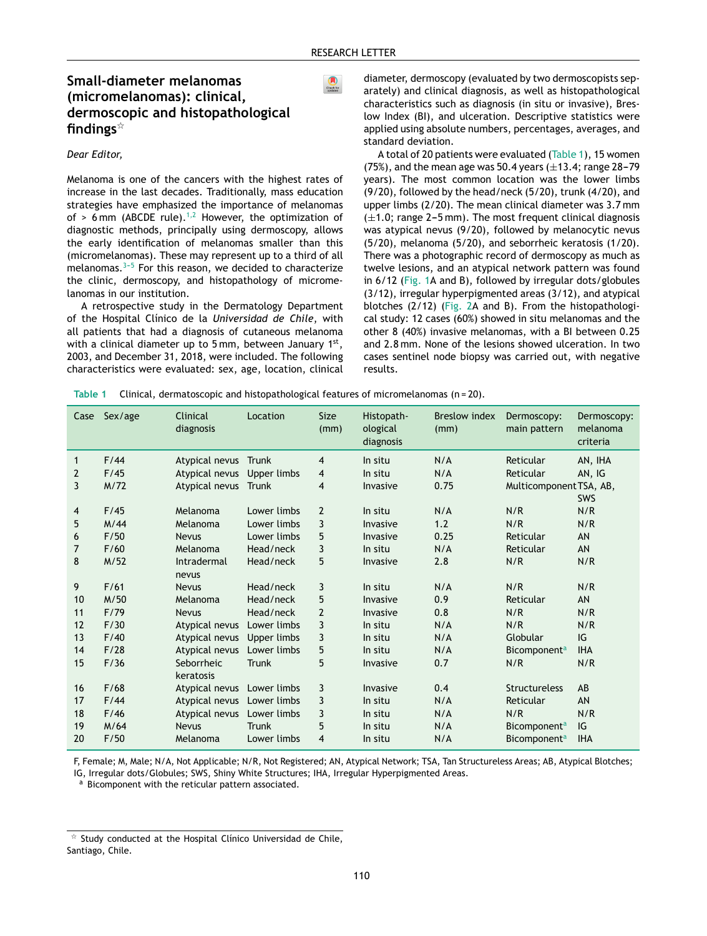$\bigcirc$ <br>Check for

# Small-diameter melanomas (micromelanomas): clinical, dermoscopic and histopathological findings $*$

### Dear Editor,

Melanoma is one of the cancers with the highest rates of increase in the last decades. Traditionally, mass education strategies have emphasized the importance of melanomas of > 6 mm (ABCDE rule).<sup>1,2</sup> However, the optimization of diagnostic methods, principally using dermoscopy, allows the early identification of melanomas smaller than this (micromelanomas). These may represent up to a third of all melanomas.<sup>3-5</sup> For this reason, we decided to characterize the clinic, dermoscopy, and histopathology of micromelanomas in our institution.

A retrospective study in the Dermatology Department of the Hospital Clínico de la Universidad de Chile, with all patients that had a diagnosis of cutaneous melanoma with a clinical diameter up to 5 mm, between January  $1<sup>st</sup>$ , 2003, and December 31, 2018, were included. The following characteristics were evaluated: sex, age, location, clinical diameter, dermoscopy (evaluated by two dermoscopists separately) and clinical diagnosis, as well as histopathological characteristics such as diagnosis (in situ or invasive), Breslow Index (BI), and ulceration. Descriptive statistics were applied using absolute numbers, percentages, averages, and standard deviation.

A total of 20 patients were evaluated (Table 1), 15 women (75%), and the mean age was 50.4 years  $(\pm 13.4; \text{ range } 28 - 79)$ years). The most common location was the lower limbs (9/20), followed by the head/neck (5/20), trunk (4/20), and upper limbs (2/20). The mean clinical diameter was 3.7 mm  $(\pm 1.0;$  range 2-5 mm). The most frequent clinical diagnosis was atypical nevus (9/20), followed by melanocytic nevus (5/20), melanoma (5/20), and seborrheic keratosis (1/20). There was a photographic record of dermoscopy as much as twelve lesions, and an atypical network pattern was found in 6/12 (Fig. 1A and B), followed by irregular dots/globules  $(3/12)$ , irregular hyperpigmented areas  $(3/12)$ , and atypical blotches (2/12) (Fig. 2A and B). From the histopathological study: 12 cases (60%) showed in situ melanomas and the other 8 (40%) invasive melanomas, with a BI between 0.25 and 2.8 mm. None of the lesions showed ulceration. In two cases sentinel node biopsy was carried out, with negative results.

| Table 1 | Clinical, dermatoscopic and histopathological features of micromelanomas $(n=20)$ . |  |  |  |
|---------|-------------------------------------------------------------------------------------|--|--|--|
|         |                                                                                     |  |  |  |

| Case         | Sex/age | Clinical<br>diagnosis | Location     | <b>Size</b><br>(mm) | Histopath-<br>ological<br>diagnosis | <b>Breslow index</b><br>(mm) | Dermoscopy:<br>main pattern    | Dermoscopy:<br>melanoma<br>criteria |
|--------------|---------|-----------------------|--------------|---------------------|-------------------------------------|------------------------------|--------------------------------|-------------------------------------|
| $\mathbf{1}$ | F/44    | Atypical nevus        | Trunk        | 4                   | In situ                             | N/A                          | Reticular                      | AN, IHA                             |
| 2            | F/45    | Atypical nevus        | Upper limbs  | $\overline{4}$      | In situ                             | N/A                          | Reticular                      | AN, IG                              |
| 3            | M/72    | Atypical nevus        | Trunk        | 4                   | Invasive                            | 0.75                         | Multicomponent TSA, AB,        |                                     |
|              |         |                       |              |                     |                                     |                              |                                | SWS                                 |
| 4            | F/45    | Melanoma              | Lower limbs  | $\overline{2}$      | In situ                             | N/A                          | N/R                            | N/R                                 |
| 5            | M/44    | Melanoma              | Lower limbs  | 3                   | Invasive                            | 1.2                          | N/R                            | N/R                                 |
| 6            | F/50    | <b>Nevus</b>          | Lower limbs  | 5                   | Invasive                            | 0.25                         | Reticular                      | AN                                  |
| 7            | F/60    | Melanoma              | Head/neck    | 3                   | In situ                             | N/A                          | Reticular                      | AN                                  |
| 8            | M/52    | <b>Intradermal</b>    | Head/neck    | 5                   | Invasive                            | 2.8                          | N/R                            | N/R                                 |
|              |         | nevus                 |              |                     |                                     |                              |                                |                                     |
| 9            | F/61    | <b>Nevus</b>          | Head/neck    | 3                   | In situ                             | N/A                          | N/R                            | N/R                                 |
| 10           | M/50    | Melanoma              | Head/neck    | 5                   | Invasive                            | 0.9                          | Reticular                      | AN                                  |
| 11           | F/79    | <b>Nevus</b>          | Head/neck    | $\overline{2}$      | Invasive                            | 0.8                          | N/R                            | N/R                                 |
| 12           | F/30    | Atypical nevus        | Lower limbs  | 3                   | In situ                             | N/A                          | N/R                            | N/R                                 |
| 13           | F/40    | Atypical nevus        | Upper limbs  | 3                   | In situ                             | N/A                          | Globular                       | IG                                  |
| 14           | F/28    | Atypical nevus        | Lower limbs  | 5                   | In situ                             | N/A                          | Bicomponent <sup>a</sup>       | <b>IHA</b>                          |
| 15           | F/36    | Seborrheic            | <b>Trunk</b> | 5                   | Invasive                            | 0.7                          | N/R                            | N/R                                 |
|              |         | keratosis             |              |                     |                                     |                              |                                |                                     |
| 16           | F/68    | Atypical nevus        | Lower limbs  | 3                   | Invasive                            | 0.4                          | Structureless                  | AB                                  |
| 17           | F/44    | Atypical nevus        | Lower limbs  | 3                   | In situ                             | N/A                          | Reticular                      | AN                                  |
| 18           | F/46    | Atypical nevus        | Lower limbs  | 3                   | In situ                             | N/A                          | N/R                            | N/R                                 |
| 19           | M/64    | <b>Nevus</b>          | <b>Trunk</b> | 5                   | In situ                             | N/A                          | <b>Bicomponent<sup>a</sup></b> | IG                                  |
| 20           | F/50    | Melanoma              | Lower limbs  | 4                   | In situ                             | N/A                          | Bicomponent <sup>a</sup>       | <b>IHA</b>                          |

F, Female; M, Male; N/A, Not Applicable; N/R, Not Registered; AN, Atypical Network; TSA, Tan Structureless Areas; AB, Atypical Blotches; IG, Irregular dots/Globules; SWS, Shiny White Structures; IHA, Irregular Hyperpigmented Areas.

a Bicomponent with the reticular pattern associated.

 $\dot{\mathbb{R}}$  Study conducted at the Hospital Clínico Universidad de Chile, Santiago, Chile.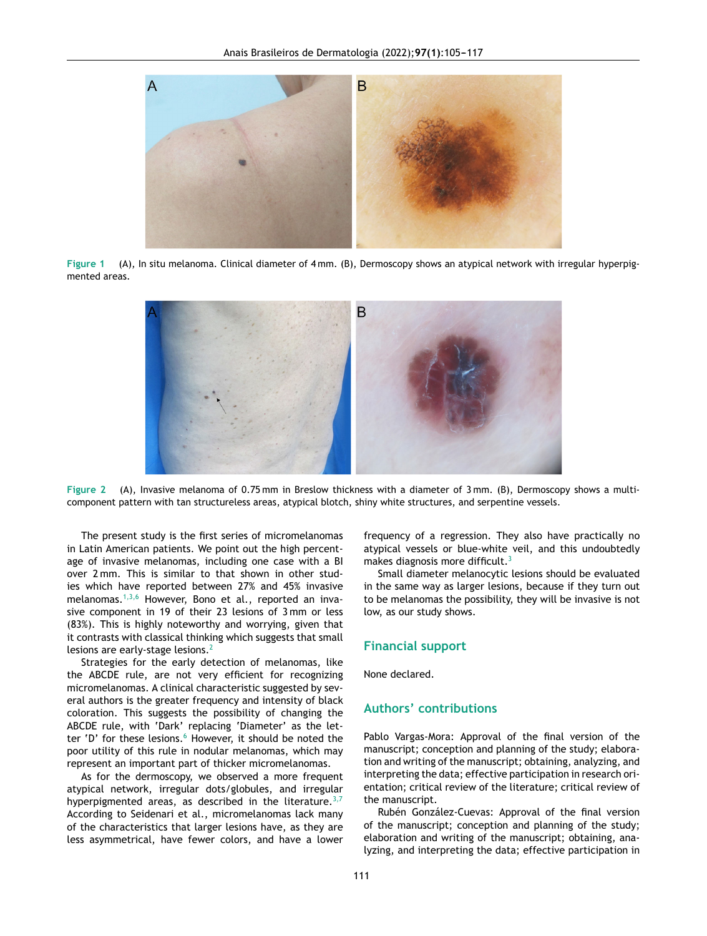<span id="page-1-0"></span>

**Figure 1** (A), In situ melanoma. Clinical diameter of 4 mm. (B), Dermoscopy shows an atypical network with irregular hyperpigmented areas.



**Figure 2** (A), Invasive melanoma of 0.75 mm in Breslow thickness with a diameter of 3 mm. (B), Dermoscopy shows a multicomponent pattern with tan structureless areas, atypical blotch, shiny white structures, and serpentine vessels.

The present study is the first series of micromelanomas in Latin American patients. We point out the high percentage of invasive melanomas, including one case with a BI over 2 mm. This is similar to that shown in other studies which have reported between 27% and 45% invasive melanomas. $1,3,6$  However, Bono et al., reported an invasive component in 19 of their 23 lesions of 3 mm or less (83%). This is highly noteworthy and worrying, given that it contrasts with classical thinking which suggests that small lesions are early-stage lesions.<sup>[2](#page-2-0)</sup>

Strategies for the early detection of melanomas, like the ABCDE rule, are not very efficient for recognizing micromelanomas. A clinical characteristic suggested by several authors is the greater frequency and intensity of black coloration. This suggests the possibility of changing the ABCDE rule, with 'Dark' replacing 'Diameter' as the let-ter 'D' for these lesions.<sup>[6](#page-2-0)</sup> However, it should be noted the poor utility of this rule in nodular melanomas, which may represent an important part of thicker micromelanomas.

As for the dermoscopy, we observed a more frequent atypical network, irregular dots/globules, and irregular hyperpigmented areas, as described in the literature.  $3,7$ According to Seidenari et al., micromelanomas lack many of the characteristics that larger lesions have, as they are less asymmetrical, have fewer colors, and have a lower frequency of a regression. They also have practically no atypical vessels or blue-white veil, and this undoubtedly makes diagnosis more difficult.<sup>[3](#page-2-0)</sup>

Small diameter melanocytic lesions should be evaluated in the same way as larger lesions, because if they turn out to be melanomas the possibility, they will be invasive is not low, as our study shows.

#### **Financial support**

None declared.

## **Authors' contributions**

Pablo Vargas-Mora: Approval of the final version of the manuscript; conception and planning of the study; elaboration and writing of the manuscript; obtaining, analyzing, and interpreting the data; effective participation in research orientation; critical review of the literature; critical review of the manuscript.

Rubén González-Cuevas: Approval of the final version of the manuscript; conception and planning of the study; elaboration and writing of the manuscript; obtaining, analyzing, and interpreting the data; effective participation in